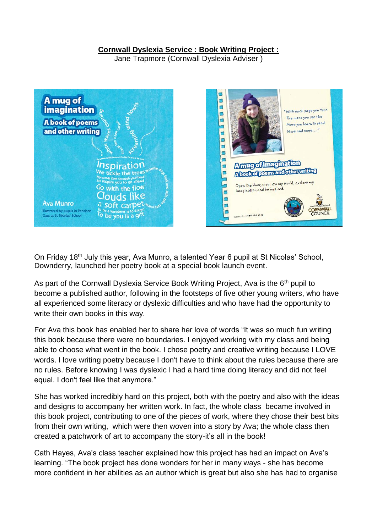## **Cornwall Dyslexia Service : Book Writing Project :**

Jane Trapmore (Cornwall Dyslexia Adviser )



On Friday 18th July this year, Ava Munro, a talented Year 6 pupil at St Nicolas' School, Downderry, launched her poetry book at a special book launch event.

As part of the Cornwall Dyslexia Service Book Writing Project, Ava is the 6<sup>th</sup> pupil to become a published author, following in the footsteps of five other young writers, who have all experienced some literacy or dyslexic difficulties and who have had the opportunity to write their own books in this way.

For Ava this book has enabled her to share her love of words "It was so much fun writing this book because there were no boundaries. I enjoyed working with my class and being able to choose what went in the book. I chose poetry and creative writing because I LOVE words. I love writing poetry because I don't have to think about the rules because there are no rules. Before knowing I was dyslexic I had a hard time doing literacy and did not feel equal. I don't feel like that anymore."

She has worked incredibly hard on this project, both with the poetry and also with the ideas and designs to accompany her written work. In fact, the whole class became involved in this book project, contributing to one of the pieces of work, where they chose their best bits from their own writing, which were then woven into a story by Ava; the whole class then created a patchwork of art to accompany the story-it's all in the book!

Cath Hayes, Ava's class teacher explained how this project has had an impact on Ava's learning. "The book project has done wonders for her in many ways - she has become more confident in her abilities as an author which is great but also she has had to organise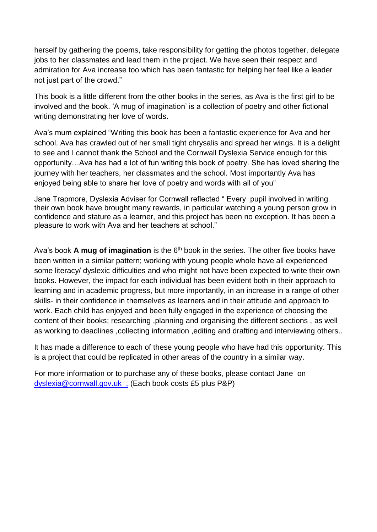herself by gathering the poems, take responsibility for getting the photos together, delegate jobs to her classmates and lead them in the project. We have seen their respect and admiration for Ava increase too which has been fantastic for helping her feel like a leader not just part of the crowd."

This book is a little different from the other books in the series, as Ava is the first girl to be involved and the book. 'A mug of imagination' is a collection of poetry and other fictional writing demonstrating her love of words.

Ava's mum explained "Writing this book has been a fantastic experience for Ava and her school. Ava has crawled out of her small tight chrysalis and spread her wings. It is a delight to see and I cannot thank the School and the Cornwall Dyslexia Service enough for this opportunity…Ava has had a lot of fun writing this book of poetry. She has loved sharing the journey with her teachers, her classmates and the school. Most importantly Ava has enjoyed being able to share her love of poetry and words with all of you"

Jane Trapmore, Dyslexia Adviser for Cornwall reflected " Every pupil involved in writing their own book have brought many rewards, in particular watching a young person grow in confidence and stature as a learner, and this project has been no exception. It has been a pleasure to work with Ava and her teachers at school."

Ava's book **A mug of imagination** is the 6<sup>th</sup> book in the series. The other five books have been written in a similar pattern; working with young people whole have all experienced some literacy/ dyslexic difficulties and who might not have been expected to write their own books. However, the impact for each individual has been evident both in their approach to learning and in academic progress, but more importantly, in an increase in a range of other skills- in their confidence in themselves as learners and in their attitude and approach to work. Each child has enjoyed and been fully engaged in the experience of choosing the content of their books; researching ,planning and organising the different sections , as well as working to deadlines, collecting information, editing and drafting and interviewing others..

It has made a difference to each of these young people who have had this opportunity. This is a project that could be replicated in other areas of the country in a similar way.

For more information or to purchase any of these books, please contact Jane on [dyslexia@cornwall.gov.uk](mailto:dyslexia@cornwall.gov.uk) , (Each book costs £5 plus P&P)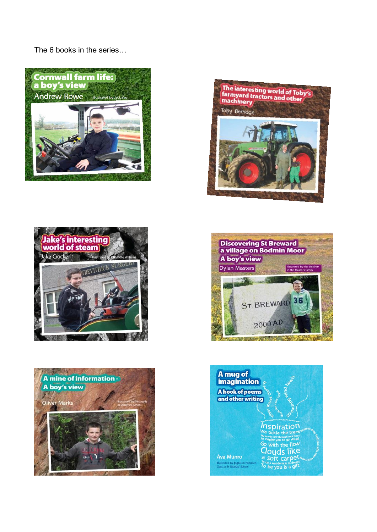The 6 books in the series...